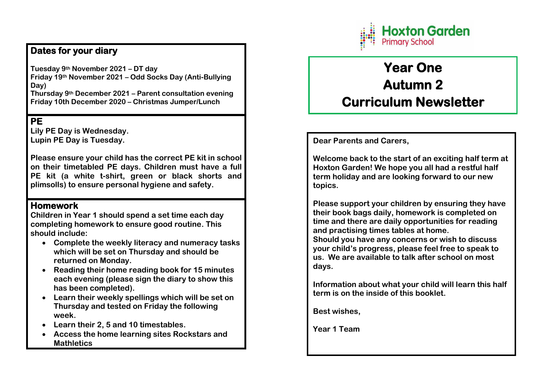## **Hoxton Garden Primary School**

### **Dates for your diary**

**Tuesday 9th November 2021 – DT day Friday 19th November 2021 – Odd Socks Day (Anti-Bullying Day)** 

**Thursday 9th December 2021 – Parent consultation evening Friday 10th December 2020 – Christmas Jumper/Lunch** 

### **PE**

**Lily PE Day is Wednesday. Lupin PE Day is Tuesday.** 

**Please ensure your child has the correct PE kit in school on their timetabled PE days. Children must have a full PE kit (a white t-shirt, green or black shorts and plimsolls) to ensure personal hygiene and safety.** 

#### **Homework**

**Children in Year 1 should spend a set time each day completing homework to ensure good routine. This should include:** 

- **Complete the weekly literacy and numeracy tasks which will be set on Thursday and should be returned on Monday.**
- **Reading their home reading book for 15 minutes each evening (please sign the diary to show this has been completed).**
- **Learn their weekly spellings which will be set on Thursday and tested on Friday the following week.**
- **Learn their 2, 5 and 10 timestables.**
- **Access the home learning sites Rockstars and Mathletics**

# **Year One Autumn 2 Curriculum Newsletter**

#### **Dear Parents and Carers,**

**Welcome back to the start of an exciting half term at Hoxton Garden! We hope you all had a restful half term holiday and are looking forward to our new topics.** 

**Please support your children by ensuring they have their book bags daily, homework is completed on time and there are daily opportunities for reading and practising times tables at home.** 

**Should you have any concerns or wish to discuss your child's progress, please feel free to speak to us. We are available to talk after school on most days.** 

**Information about what your child will learn this half term is on the inside of this booklet.** 

**Best wishes,** 

**Year 1 Team**